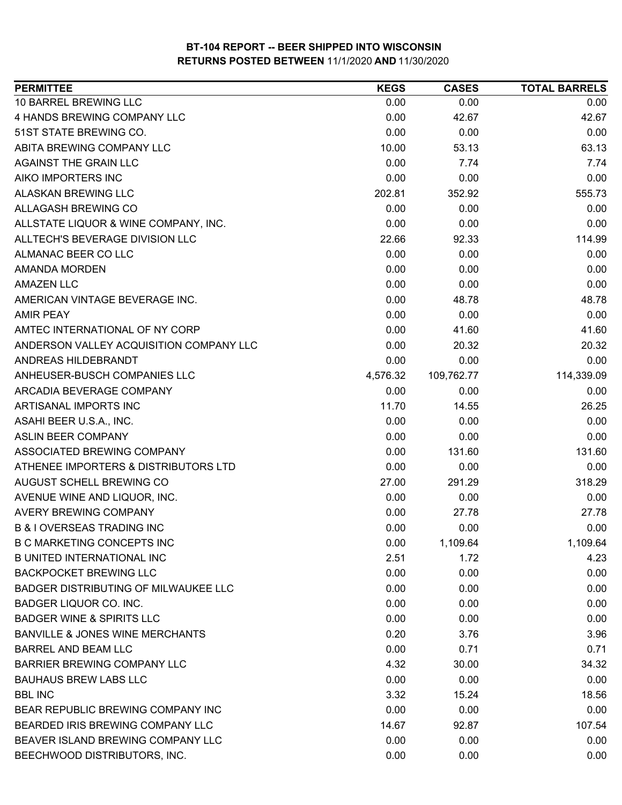| <b>PERMITTEE</b>                            | <b>KEGS</b> | <b>CASES</b> | <b>TOTAL BARRELS</b> |
|---------------------------------------------|-------------|--------------|----------------------|
| 10 BARREL BREWING LLC                       | 0.00        | 0.00         | 0.00                 |
| 4 HANDS BREWING COMPANY LLC                 | 0.00        | 42.67        | 42.67                |
| 51ST STATE BREWING CO.                      | 0.00        | 0.00         | 0.00                 |
| ABITA BREWING COMPANY LLC                   | 10.00       | 53.13        | 63.13                |
| AGAINST THE GRAIN LLC                       | 0.00        | 7.74         | 7.74                 |
| AIKO IMPORTERS INC                          | 0.00        | 0.00         | 0.00                 |
| <b>ALASKAN BREWING LLC</b>                  | 202.81      | 352.92       | 555.73               |
| ALLAGASH BREWING CO                         | 0.00        | 0.00         | 0.00                 |
| ALLSTATE LIQUOR & WINE COMPANY, INC.        | 0.00        | 0.00         | 0.00                 |
| ALLTECH'S BEVERAGE DIVISION LLC             | 22.66       | 92.33        | 114.99               |
| ALMANAC BEER CO LLC                         | 0.00        | 0.00         | 0.00                 |
| <b>AMANDA MORDEN</b>                        | 0.00        | 0.00         | 0.00                 |
| <b>AMAZEN LLC</b>                           | 0.00        | 0.00         | 0.00                 |
| AMERICAN VINTAGE BEVERAGE INC.              | 0.00        | 48.78        | 48.78                |
| <b>AMIR PEAY</b>                            | 0.00        | 0.00         | 0.00                 |
| AMTEC INTERNATIONAL OF NY CORP              | 0.00        | 41.60        | 41.60                |
| ANDERSON VALLEY ACQUISITION COMPANY LLC     | 0.00        | 20.32        | 20.32                |
| ANDREAS HILDEBRANDT                         | 0.00        | 0.00         | 0.00                 |
| ANHEUSER-BUSCH COMPANIES LLC                | 4,576.32    | 109,762.77   | 114,339.09           |
| ARCADIA BEVERAGE COMPANY                    | 0.00        | 0.00         | 0.00                 |
| ARTISANAL IMPORTS INC                       | 11.70       | 14.55        | 26.25                |
| ASAHI BEER U.S.A., INC.                     | 0.00        | 0.00         | 0.00                 |
| <b>ASLIN BEER COMPANY</b>                   | 0.00        | 0.00         | 0.00                 |
| ASSOCIATED BREWING COMPANY                  | 0.00        | 131.60       | 131.60               |
| ATHENEE IMPORTERS & DISTRIBUTORS LTD        | 0.00        | 0.00         | 0.00                 |
| AUGUST SCHELL BREWING CO                    | 27.00       | 291.29       | 318.29               |
| AVENUE WINE AND LIQUOR, INC.                | 0.00        | 0.00         | 0.00                 |
| AVERY BREWING COMPANY                       | 0.00        | 27.78        | 27.78                |
| <b>B &amp; I OVERSEAS TRADING INC</b>       | 0.00        | 0.00         | 0.00                 |
| <b>B C MARKETING CONCEPTS INC</b>           | 0.00        | 1,109.64     | 1,109.64             |
| <b>B UNITED INTERNATIONAL INC</b>           | 2.51        | 1.72         | 4.23                 |
| <b>BACKPOCKET BREWING LLC</b>               | 0.00        | 0.00         | 0.00                 |
| <b>BADGER DISTRIBUTING OF MILWAUKEE LLC</b> | 0.00        | 0.00         | 0.00                 |
| BADGER LIQUOR CO. INC.                      | 0.00        | 0.00         | 0.00                 |
| <b>BADGER WINE &amp; SPIRITS LLC</b>        | 0.00        | 0.00         | 0.00                 |
| <b>BANVILLE &amp; JONES WINE MERCHANTS</b>  | 0.20        | 3.76         | 3.96                 |
| <b>BARREL AND BEAM LLC</b>                  | 0.00        | 0.71         | 0.71                 |
| <b>BARRIER BREWING COMPANY LLC</b>          | 4.32        | 30.00        | 34.32                |
| <b>BAUHAUS BREW LABS LLC</b>                | 0.00        | 0.00         | 0.00                 |
| <b>BBL INC</b>                              | 3.32        | 15.24        | 18.56                |
| BEAR REPUBLIC BREWING COMPANY INC           | 0.00        | 0.00         | 0.00                 |
| BEARDED IRIS BREWING COMPANY LLC            | 14.67       | 92.87        | 107.54               |
| BEAVER ISLAND BREWING COMPANY LLC           | 0.00        | 0.00         | 0.00                 |
| BEECHWOOD DISTRIBUTORS, INC.                | 0.00        | 0.00         | 0.00                 |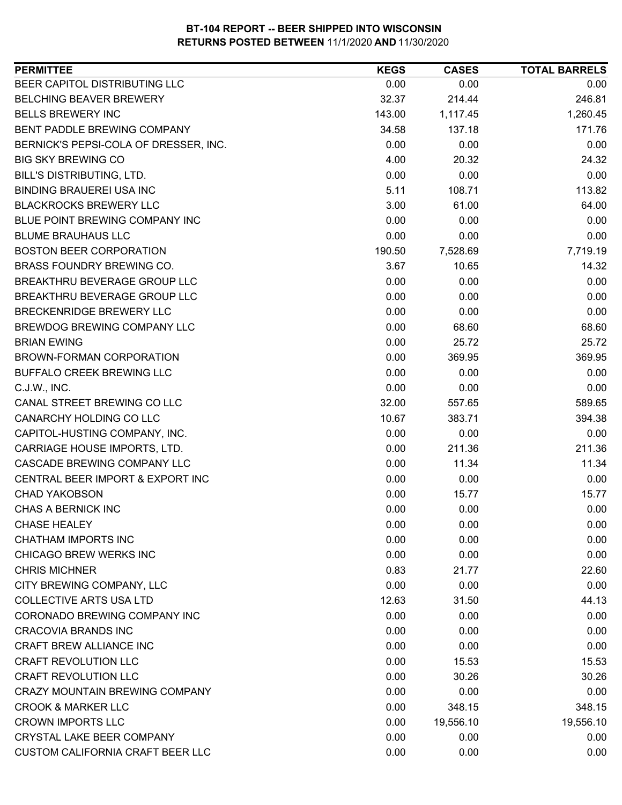| <b>PERMITTEE</b>                      | <b>KEGS</b>  | <b>CASES</b> | <b>TOTAL BARRELS</b> |
|---------------------------------------|--------------|--------------|----------------------|
| BEER CAPITOL DISTRIBUTING LLC         | 0.00         | 0.00         | 0.00                 |
| <b>BELCHING BEAVER BREWERY</b>        | 32.37        | 214.44       | 246.81               |
| <b>BELLS BREWERY INC</b>              | 143.00       | 1,117.45     | 1,260.45             |
| BENT PADDLE BREWING COMPANY           | 34.58        | 137.18       | 171.76               |
| BERNICK'S PEPSI-COLA OF DRESSER, INC. | 0.00         | 0.00         | 0.00                 |
| <b>BIG SKY BREWING CO</b>             | 4.00         | 20.32        | 24.32                |
| <b>BILL'S DISTRIBUTING, LTD.</b>      | 0.00         | 0.00         | 0.00                 |
| <b>BINDING BRAUEREI USA INC</b>       | 5.11         | 108.71       | 113.82               |
| <b>BLACKROCKS BREWERY LLC</b>         | 3.00         | 61.00        | 64.00                |
| BLUE POINT BREWING COMPANY INC        | 0.00         | 0.00         | 0.00                 |
| <b>BLUME BRAUHAUS LLC</b>             | 0.00         | 0.00         | 0.00                 |
| <b>BOSTON BEER CORPORATION</b>        | 190.50       | 7,528.69     | 7,719.19             |
| <b>BRASS FOUNDRY BREWING CO.</b>      | 3.67         | 10.65        | 14.32                |
| BREAKTHRU BEVERAGE GROUP LLC          | 0.00         | 0.00         | 0.00                 |
| BREAKTHRU BEVERAGE GROUP LLC          | 0.00         | 0.00         | 0.00                 |
| BRECKENRIDGE BREWERY LLC              | 0.00         | 0.00         | 0.00                 |
| BREWDOG BREWING COMPANY LLC           | 0.00         | 68.60        | 68.60                |
| <b>BRIAN EWING</b>                    | 0.00         | 25.72        | 25.72                |
| BROWN-FORMAN CORPORATION              | 0.00         | 369.95       | 369.95               |
| BUFFALO CREEK BREWING LLC             | 0.00         | 0.00         | 0.00                 |
| C.J.W., INC.                          | 0.00         | 0.00         | 0.00                 |
| CANAL STREET BREWING CO LLC           | 32.00        | 557.65       | 589.65               |
| CANARCHY HOLDING CO LLC               | 10.67        | 383.71       | 394.38               |
| CAPITOL-HUSTING COMPANY, INC.         | 0.00         | 0.00         | 0.00                 |
| CARRIAGE HOUSE IMPORTS, LTD.          | 0.00         | 211.36       | 211.36               |
| CASCADE BREWING COMPANY LLC           | 0.00         | 11.34        | 11.34                |
| CENTRAL BEER IMPORT & EXPORT INC      | 0.00         | 0.00         | 0.00                 |
| <b>CHAD YAKOBSON</b>                  | 0.00         | 15.77        | 15.77                |
| CHAS A BERNICK INC                    | 0.00         | 0.00         | 0.00                 |
| <b>CHASE HEALEY</b>                   | 0.00         | 0.00         | 0.00                 |
| <b>CHATHAM IMPORTS INC</b>            | 0.00         | 0.00         | 0.00                 |
| CHICAGO BREW WERKS INC                | 0.00         | 0.00         | 0.00                 |
| <b>CHRIS MICHNER</b>                  | 0.83         | 21.77        | 22.60                |
| CITY BREWING COMPANY, LLC             | 0.00         | 0.00         | 0.00                 |
| <b>COLLECTIVE ARTS USA LTD</b>        | 12.63        | 31.50        | 44.13                |
| CORONADO BREWING COMPANY INC          | 0.00         | 0.00         | 0.00                 |
| <b>CRACOVIA BRANDS INC</b>            | 0.00         | 0.00         | 0.00                 |
| <b>CRAFT BREW ALLIANCE INC</b>        | 0.00         | 0.00         | 0.00                 |
| <b>CRAFT REVOLUTION LLC</b>           | 0.00         | 15.53        | 15.53                |
| <b>CRAFT REVOLUTION LLC</b>           | 0.00         | 30.26        | 30.26                |
| CRAZY MOUNTAIN BREWING COMPANY        | 0.00         | 0.00         | 0.00                 |
| <b>CROOK &amp; MARKER LLC</b>         |              | 348.15       | 348.15               |
| <b>CROWN IMPORTS LLC</b>              | 0.00<br>0.00 | 19,556.10    |                      |
| <b>CRYSTAL LAKE BEER COMPANY</b>      |              |              | 19,556.10            |
|                                       | 0.00         | 0.00         | 0.00                 |
| CUSTOM CALIFORNIA CRAFT BEER LLC      | 0.00         | 0.00         | 0.00                 |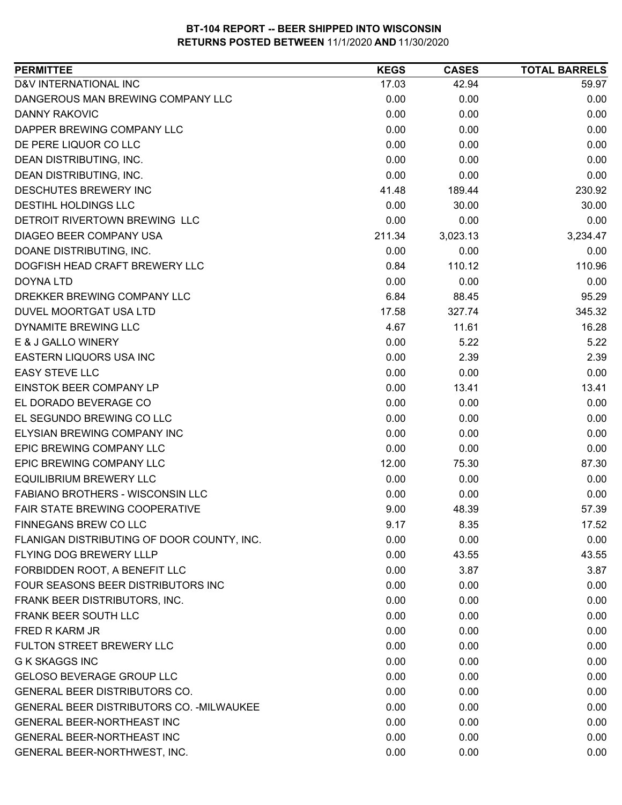| D&V INTERNATIONAL INC<br>17.03<br>42.94<br>59.97<br>DANGEROUS MAN BREWING COMPANY LLC<br>0.00<br>0.00<br>0.00<br><b>DANNY RAKOVIC</b><br>0.00<br>0.00<br>0.00<br>0.00<br>0.00<br>DAPPER BREWING COMPANY LLC<br>0.00<br>DE PERE LIQUOR CO LLC<br>0.00<br>0.00<br>0.00<br>0.00<br>0.00<br>DEAN DISTRIBUTING, INC.<br>0.00<br>DEAN DISTRIBUTING, INC.<br>0.00<br>0.00<br>0.00<br>230.92<br>DESCHUTES BREWERY INC<br>189.44<br>41.48<br>0.00<br>30.00<br>30.00<br><b>DESTIHL HOLDINGS LLC</b><br>DETROIT RIVERTOWN BREWING LLC<br>0.00<br>0.00<br>0.00<br>DIAGEO BEER COMPANY USA<br>211.34<br>3,023.13<br>3,234.47<br>DOANE DISTRIBUTING, INC.<br>0.00<br>0.00<br>0.00<br>DOGFISH HEAD CRAFT BREWERY LLC<br>0.84<br>110.12<br>110.96<br>0.00<br>0.00<br>DOYNA LTD<br>0.00<br>6.84<br>95.29<br>DREKKER BREWING COMPANY LLC<br>88.45 |
|---------------------------------------------------------------------------------------------------------------------------------------------------------------------------------------------------------------------------------------------------------------------------------------------------------------------------------------------------------------------------------------------------------------------------------------------------------------------------------------------------------------------------------------------------------------------------------------------------------------------------------------------------------------------------------------------------------------------------------------------------------------------------------------------------------------------------------|
|                                                                                                                                                                                                                                                                                                                                                                                                                                                                                                                                                                                                                                                                                                                                                                                                                                 |
|                                                                                                                                                                                                                                                                                                                                                                                                                                                                                                                                                                                                                                                                                                                                                                                                                                 |
|                                                                                                                                                                                                                                                                                                                                                                                                                                                                                                                                                                                                                                                                                                                                                                                                                                 |
|                                                                                                                                                                                                                                                                                                                                                                                                                                                                                                                                                                                                                                                                                                                                                                                                                                 |
|                                                                                                                                                                                                                                                                                                                                                                                                                                                                                                                                                                                                                                                                                                                                                                                                                                 |
|                                                                                                                                                                                                                                                                                                                                                                                                                                                                                                                                                                                                                                                                                                                                                                                                                                 |
|                                                                                                                                                                                                                                                                                                                                                                                                                                                                                                                                                                                                                                                                                                                                                                                                                                 |
|                                                                                                                                                                                                                                                                                                                                                                                                                                                                                                                                                                                                                                                                                                                                                                                                                                 |
|                                                                                                                                                                                                                                                                                                                                                                                                                                                                                                                                                                                                                                                                                                                                                                                                                                 |
|                                                                                                                                                                                                                                                                                                                                                                                                                                                                                                                                                                                                                                                                                                                                                                                                                                 |
|                                                                                                                                                                                                                                                                                                                                                                                                                                                                                                                                                                                                                                                                                                                                                                                                                                 |
|                                                                                                                                                                                                                                                                                                                                                                                                                                                                                                                                                                                                                                                                                                                                                                                                                                 |
|                                                                                                                                                                                                                                                                                                                                                                                                                                                                                                                                                                                                                                                                                                                                                                                                                                 |
|                                                                                                                                                                                                                                                                                                                                                                                                                                                                                                                                                                                                                                                                                                                                                                                                                                 |
|                                                                                                                                                                                                                                                                                                                                                                                                                                                                                                                                                                                                                                                                                                                                                                                                                                 |
| DUVEL MOORTGAT USA LTD<br>17.58<br>345.32<br>327.74                                                                                                                                                                                                                                                                                                                                                                                                                                                                                                                                                                                                                                                                                                                                                                             |
| DYNAMITE BREWING LLC<br>4.67<br>11.61<br>16.28                                                                                                                                                                                                                                                                                                                                                                                                                                                                                                                                                                                                                                                                                                                                                                                  |
| E & J GALLO WINERY<br>0.00<br>5.22<br>5.22                                                                                                                                                                                                                                                                                                                                                                                                                                                                                                                                                                                                                                                                                                                                                                                      |
| EASTERN LIQUORS USA INC<br>0.00<br>2.39<br>2.39                                                                                                                                                                                                                                                                                                                                                                                                                                                                                                                                                                                                                                                                                                                                                                                 |
| <b>EASY STEVE LLC</b><br>0.00<br>0.00<br>0.00                                                                                                                                                                                                                                                                                                                                                                                                                                                                                                                                                                                                                                                                                                                                                                                   |
| EINSTOK BEER COMPANY LP<br>0.00<br>13.41<br>13.41                                                                                                                                                                                                                                                                                                                                                                                                                                                                                                                                                                                                                                                                                                                                                                               |
| EL DORADO BEVERAGE CO<br>0.00<br>0.00<br>0.00                                                                                                                                                                                                                                                                                                                                                                                                                                                                                                                                                                                                                                                                                                                                                                                   |
| EL SEGUNDO BREWING CO LLC<br>0.00<br>0.00<br>0.00                                                                                                                                                                                                                                                                                                                                                                                                                                                                                                                                                                                                                                                                                                                                                                               |
| ELYSIAN BREWING COMPANY INC<br>0.00<br>0.00<br>0.00                                                                                                                                                                                                                                                                                                                                                                                                                                                                                                                                                                                                                                                                                                                                                                             |
| 0.00<br>0.00<br>EPIC BREWING COMPANY LLC<br>0.00                                                                                                                                                                                                                                                                                                                                                                                                                                                                                                                                                                                                                                                                                                                                                                                |
| <b>EPIC BREWING COMPANY LLC</b><br>12.00<br>87.30<br>75.30                                                                                                                                                                                                                                                                                                                                                                                                                                                                                                                                                                                                                                                                                                                                                                      |
| <b>EQUILIBRIUM BREWERY LLC</b><br>0.00<br>0.00<br>0.00                                                                                                                                                                                                                                                                                                                                                                                                                                                                                                                                                                                                                                                                                                                                                                          |
| FABIANO BROTHERS - WISCONSIN LLC<br>0.00<br>0.00<br>0.00                                                                                                                                                                                                                                                                                                                                                                                                                                                                                                                                                                                                                                                                                                                                                                        |
| <b>FAIR STATE BREWING COOPERATIVE</b><br>9.00<br>48.39<br>57.39                                                                                                                                                                                                                                                                                                                                                                                                                                                                                                                                                                                                                                                                                                                                                                 |
| FINNEGANS BREW CO LLC<br>9.17<br>8.35<br>17.52                                                                                                                                                                                                                                                                                                                                                                                                                                                                                                                                                                                                                                                                                                                                                                                  |
| FLANIGAN DISTRIBUTING OF DOOR COUNTY, INC.<br>0.00<br>0.00<br>0.00                                                                                                                                                                                                                                                                                                                                                                                                                                                                                                                                                                                                                                                                                                                                                              |
| FLYING DOG BREWERY LLLP<br>0.00<br>43.55<br>43.55                                                                                                                                                                                                                                                                                                                                                                                                                                                                                                                                                                                                                                                                                                                                                                               |
| FORBIDDEN ROOT, A BENEFIT LLC<br>0.00<br>3.87<br>3.87                                                                                                                                                                                                                                                                                                                                                                                                                                                                                                                                                                                                                                                                                                                                                                           |
| FOUR SEASONS BEER DISTRIBUTORS INC<br>0.00<br>0.00<br>0.00                                                                                                                                                                                                                                                                                                                                                                                                                                                                                                                                                                                                                                                                                                                                                                      |
| 0.00<br>0.00<br>0.00<br>FRANK BEER DISTRIBUTORS, INC.                                                                                                                                                                                                                                                                                                                                                                                                                                                                                                                                                                                                                                                                                                                                                                           |
| FRANK BEER SOUTH LLC<br>0.00<br>0.00<br>0.00                                                                                                                                                                                                                                                                                                                                                                                                                                                                                                                                                                                                                                                                                                                                                                                    |
| FRED R KARM JR<br>0.00<br>0.00<br>0.00                                                                                                                                                                                                                                                                                                                                                                                                                                                                                                                                                                                                                                                                                                                                                                                          |
| 0.00<br>FULTON STREET BREWERY LLC<br>0.00<br>0.00                                                                                                                                                                                                                                                                                                                                                                                                                                                                                                                                                                                                                                                                                                                                                                               |
| <b>G K SKAGGS INC</b><br>0.00<br>0.00<br>0.00                                                                                                                                                                                                                                                                                                                                                                                                                                                                                                                                                                                                                                                                                                                                                                                   |
| <b>GELOSO BEVERAGE GROUP LLC</b><br>0.00<br>0.00<br>0.00                                                                                                                                                                                                                                                                                                                                                                                                                                                                                                                                                                                                                                                                                                                                                                        |
| GENERAL BEER DISTRIBUTORS CO.<br>0.00<br>0.00<br>0.00                                                                                                                                                                                                                                                                                                                                                                                                                                                                                                                                                                                                                                                                                                                                                                           |
| <b>GENERAL BEER DISTRIBUTORS CO. - MILWAUKEE</b><br>0.00<br>0.00<br>0.00                                                                                                                                                                                                                                                                                                                                                                                                                                                                                                                                                                                                                                                                                                                                                        |
| <b>GENERAL BEER-NORTHEAST INC</b><br>0.00<br>0.00<br>0.00                                                                                                                                                                                                                                                                                                                                                                                                                                                                                                                                                                                                                                                                                                                                                                       |
| <b>GENERAL BEER-NORTHEAST INC</b><br>0.00<br>0.00<br>0.00                                                                                                                                                                                                                                                                                                                                                                                                                                                                                                                                                                                                                                                                                                                                                                       |
| GENERAL BEER-NORTHWEST, INC.<br>0.00<br>0.00<br>0.00                                                                                                                                                                                                                                                                                                                                                                                                                                                                                                                                                                                                                                                                                                                                                                            |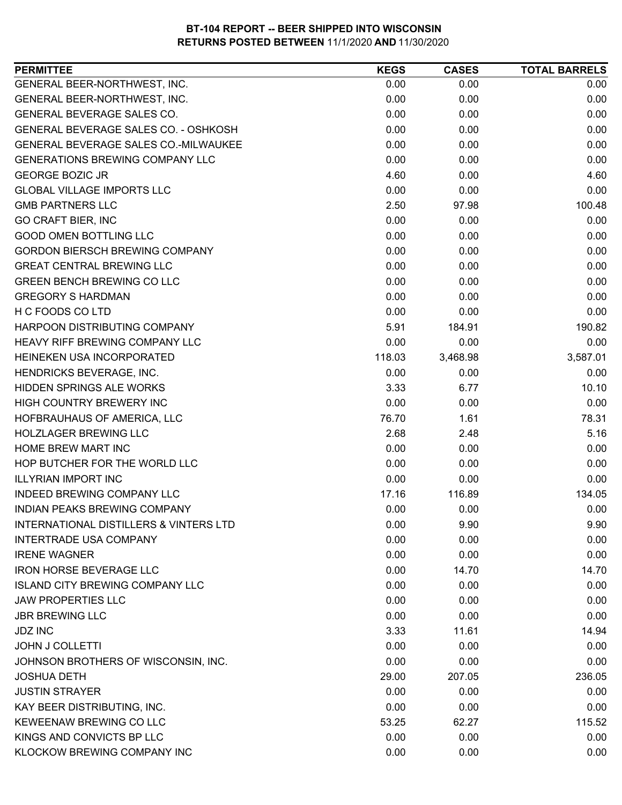| <b>PERMITTEE</b>                       | <b>KEGS</b> | <b>CASES</b> | <b>TOTAL BARRELS</b> |
|----------------------------------------|-------------|--------------|----------------------|
| GENERAL BEER-NORTHWEST, INC.           | 0.00        | 0.00         | 0.00                 |
| GENERAL BEER-NORTHWEST, INC.           | 0.00        | 0.00         | 0.00                 |
| GENERAL BEVERAGE SALES CO.             | 0.00        | 0.00         | 0.00                 |
| GENERAL BEVERAGE SALES CO. - OSHKOSH   | 0.00        | 0.00         | 0.00                 |
| GENERAL BEVERAGE SALES CO.-MILWAUKEE   | 0.00        | 0.00         | 0.00                 |
| <b>GENERATIONS BREWING COMPANY LLC</b> | 0.00        | 0.00         | 0.00                 |
| <b>GEORGE BOZIC JR</b>                 | 4.60        | 0.00         | 4.60                 |
| <b>GLOBAL VILLAGE IMPORTS LLC</b>      | 0.00        | 0.00         | 0.00                 |
| <b>GMB PARTNERS LLC</b>                | 2.50        | 97.98        | 100.48               |
| <b>GO CRAFT BIER, INC</b>              | 0.00        | 0.00         | 0.00                 |
| <b>GOOD OMEN BOTTLING LLC</b>          | 0.00        | 0.00         | 0.00                 |
| <b>GORDON BIERSCH BREWING COMPANY</b>  | 0.00        | 0.00         | 0.00                 |
| <b>GREAT CENTRAL BREWING LLC</b>       | 0.00        | 0.00         | 0.00                 |
| <b>GREEN BENCH BREWING CO LLC</b>      | 0.00        | 0.00         | 0.00                 |
| <b>GREGORY S HARDMAN</b>               | 0.00        | 0.00         | 0.00                 |
| H C FOODS CO LTD                       | 0.00        | 0.00         | 0.00                 |
| HARPOON DISTRIBUTING COMPANY           | 5.91        | 184.91       | 190.82               |
| <b>HEAVY RIFF BREWING COMPANY LLC</b>  | 0.00        | 0.00         | 0.00                 |
| HEINEKEN USA INCORPORATED              | 118.03      | 3,468.98     | 3,587.01             |
| HENDRICKS BEVERAGE, INC.               | 0.00        | 0.00         | 0.00                 |
| <b>HIDDEN SPRINGS ALE WORKS</b>        | 3.33        | 6.77         | 10.10                |
| HIGH COUNTRY BREWERY INC               | 0.00        | 0.00         | 0.00                 |
| HOFBRAUHAUS OF AMERICA, LLC            | 76.70       | 1.61         | 78.31                |
| <b>HOLZLAGER BREWING LLC</b>           | 2.68        | 2.48         | 5.16                 |
| HOME BREW MART INC                     | 0.00        | 0.00         | 0.00                 |
| HOP BUTCHER FOR THE WORLD LLC          | 0.00        | 0.00         | 0.00                 |
| <b>ILLYRIAN IMPORT INC</b>             | 0.00        | 0.00         | 0.00                 |
| <b>INDEED BREWING COMPANY LLC</b>      | 17.16       | 116.89       | 134.05               |
| <b>INDIAN PEAKS BREWING COMPANY</b>    | 0.00        | 0.00         | 0.00                 |
| INTERNATIONAL DISTILLERS & VINTERS LTD | 0.00        | 9.90         | 9.90                 |
| <b>INTERTRADE USA COMPANY</b>          | 0.00        | 0.00         | 0.00                 |
| <b>IRENE WAGNER</b>                    | 0.00        | 0.00         | 0.00                 |
| <b>IRON HORSE BEVERAGE LLC</b>         | 0.00        | 14.70        | 14.70                |
| <b>ISLAND CITY BREWING COMPANY LLC</b> | 0.00        | 0.00         | 0.00                 |
| <b>JAW PROPERTIES LLC</b>              | 0.00        | 0.00         | 0.00                 |
| <b>JBR BREWING LLC</b>                 | 0.00        | 0.00         | 0.00                 |
| <b>JDZ INC</b>                         | 3.33        | 11.61        | 14.94                |
| <b>JOHN J COLLETTI</b>                 | 0.00        | 0.00         | 0.00                 |
| JOHNSON BROTHERS OF WISCONSIN, INC.    | 0.00        | 0.00         | 0.00                 |
| <b>JOSHUA DETH</b>                     | 29.00       | 207.05       | 236.05               |
| <b>JUSTIN STRAYER</b>                  | 0.00        | 0.00         | 0.00                 |
| KAY BEER DISTRIBUTING, INC.            | 0.00        | 0.00         | 0.00                 |
| KEWEENAW BREWING CO LLC                | 53.25       | 62.27        | 115.52               |
| KINGS AND CONVICTS BP LLC              | 0.00        | 0.00         | 0.00                 |
| KLOCKOW BREWING COMPANY INC            | 0.00        | 0.00         | 0.00                 |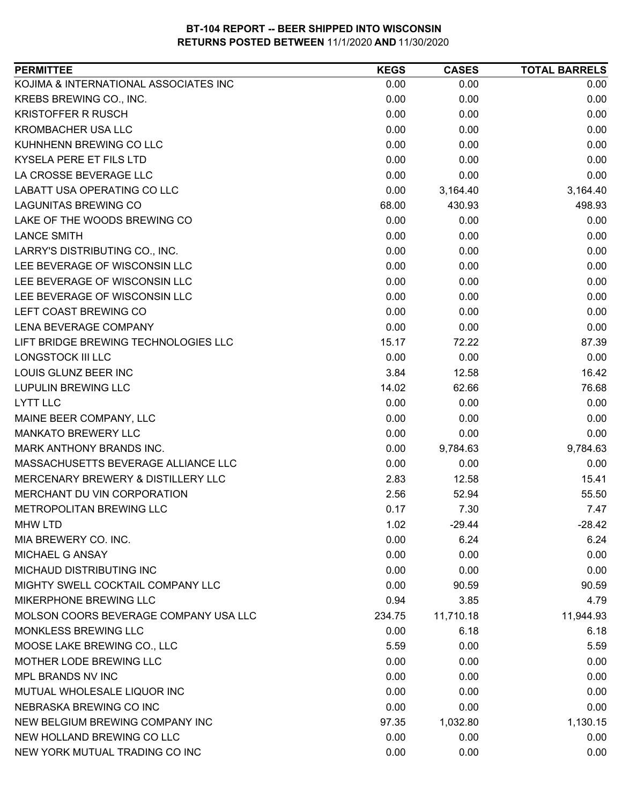| <b>PERMITTEE</b>                      | <b>KEGS</b> | <b>CASES</b> | <b>TOTAL BARRELS</b> |
|---------------------------------------|-------------|--------------|----------------------|
| KOJIMA & INTERNATIONAL ASSOCIATES INC | 0.00        | 0.00         | 0.00                 |
| KREBS BREWING CO., INC.               | 0.00        | 0.00         | 0.00                 |
| <b>KRISTOFFER R RUSCH</b>             | 0.00        | 0.00         | 0.00                 |
| <b>KROMBACHER USA LLC</b>             | 0.00        | 0.00         | 0.00                 |
| KUHNHENN BREWING CO LLC               | 0.00        | 0.00         | 0.00                 |
| KYSELA PERE ET FILS LTD               | 0.00        | 0.00         | 0.00                 |
| LA CROSSE BEVERAGE LLC                | 0.00        | 0.00         | 0.00                 |
| LABATT USA OPERATING CO LLC           | 0.00        | 3,164.40     | 3,164.40             |
| <b>LAGUNITAS BREWING CO</b>           | 68.00       | 430.93       | 498.93               |
| LAKE OF THE WOODS BREWING CO          | 0.00        | 0.00         | 0.00                 |
| <b>LANCE SMITH</b>                    | 0.00        | 0.00         | 0.00                 |
| LARRY'S DISTRIBUTING CO., INC.        | 0.00        | 0.00         | 0.00                 |
| LEE BEVERAGE OF WISCONSIN LLC         | 0.00        | 0.00         | 0.00                 |
| LEE BEVERAGE OF WISCONSIN LLC         | 0.00        | 0.00         | 0.00                 |
| LEE BEVERAGE OF WISCONSIN LLC         | 0.00        | 0.00         | 0.00                 |
| LEFT COAST BREWING CO                 | 0.00        | 0.00         | 0.00                 |
| LENA BEVERAGE COMPANY                 | 0.00        | 0.00         | 0.00                 |
| LIFT BRIDGE BREWING TECHNOLOGIES LLC  | 15.17       | 72.22        | 87.39                |
| <b>LONGSTOCK III LLC</b>              | 0.00        | 0.00         | 0.00                 |
| LOUIS GLUNZ BEER INC                  | 3.84        | 12.58        | 16.42                |
| <b>LUPULIN BREWING LLC</b>            | 14.02       | 62.66        | 76.68                |
| <b>LYTT LLC</b>                       | 0.00        | 0.00         | 0.00                 |
| MAINE BEER COMPANY, LLC               | 0.00        | 0.00         | 0.00                 |
| <b>MANKATO BREWERY LLC</b>            | 0.00        | 0.00         | 0.00                 |
| MARK ANTHONY BRANDS INC.              | 0.00        | 9,784.63     | 9,784.63             |
| MASSACHUSETTS BEVERAGE ALLIANCE LLC   | 0.00        | 0.00         | 0.00                 |
| MERCENARY BREWERY & DISTILLERY LLC    | 2.83        | 12.58        | 15.41                |
| MERCHANT DU VIN CORPORATION           | 2.56        | 52.94        | 55.50                |
| METROPOLITAN BREWING LLC              | 0.17        | 7.30         | 7.47                 |
| <b>MHW LTD</b>                        | 1.02        | $-29.44$     | $-28.42$             |
| MIA BREWERY CO. INC.                  | 0.00        | 6.24         | 6.24                 |
| MICHAEL G ANSAY                       | 0.00        | 0.00         | 0.00                 |
| MICHAUD DISTRIBUTING INC              | 0.00        | 0.00         | 0.00                 |
| MIGHTY SWELL COCKTAIL COMPANY LLC     | 0.00        | 90.59        | 90.59                |
| MIKERPHONE BREWING LLC                | 0.94        | 3.85         | 4.79                 |
| MOLSON COORS BEVERAGE COMPANY USA LLC | 234.75      | 11,710.18    | 11,944.93            |
| MONKLESS BREWING LLC                  | 0.00        | 6.18         | 6.18                 |
| MOOSE LAKE BREWING CO., LLC           | 5.59        | 0.00         | 5.59                 |
| MOTHER LODE BREWING LLC               | 0.00        | 0.00         | 0.00                 |
| MPL BRANDS NV INC                     | 0.00        | 0.00         | 0.00                 |
| MUTUAL WHOLESALE LIQUOR INC           | 0.00        | 0.00         | 0.00                 |
| NEBRASKA BREWING CO INC               | 0.00        | 0.00         | 0.00                 |
| NEW BELGIUM BREWING COMPANY INC       | 97.35       | 1,032.80     | 1,130.15             |
| NEW HOLLAND BREWING CO LLC            | 0.00        | 0.00         | 0.00                 |
| NEW YORK MUTUAL TRADING CO INC        | 0.00        | 0.00         | 0.00                 |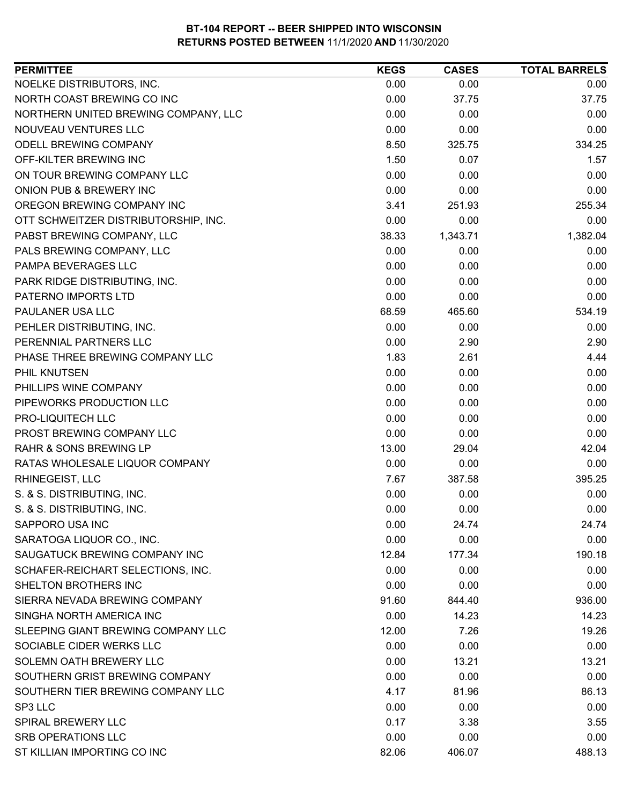| <b>PERMITTEE</b>                     | <b>KEGS</b> | <b>CASES</b> | <b>TOTAL BARRELS</b> |
|--------------------------------------|-------------|--------------|----------------------|
| NOELKE DISTRIBUTORS, INC.            | 0.00        | 0.00         | 0.00                 |
| NORTH COAST BREWING CO INC           | 0.00        | 37.75        | 37.75                |
| NORTHERN UNITED BREWING COMPANY, LLC | 0.00        | 0.00         | 0.00                 |
| NOUVEAU VENTURES LLC                 | 0.00        | 0.00         | 0.00                 |
| ODELL BREWING COMPANY                | 8.50        | 325.75       | 334.25               |
| OFF-KILTER BREWING INC               | 1.50        | 0.07         | 1.57                 |
| ON TOUR BREWING COMPANY LLC          | 0.00        | 0.00         | 0.00                 |
| ONION PUB & BREWERY INC              | 0.00        | 0.00         | 0.00                 |
| OREGON BREWING COMPANY INC           | 3.41        | 251.93       | 255.34               |
| OTT SCHWEITZER DISTRIBUTORSHIP, INC. | 0.00        | 0.00         | 0.00                 |
| PABST BREWING COMPANY, LLC           | 38.33       | 1,343.71     | 1,382.04             |
| PALS BREWING COMPANY, LLC            | 0.00        | 0.00         | 0.00                 |
| PAMPA BEVERAGES LLC                  | 0.00        | 0.00         | 0.00                 |
| PARK RIDGE DISTRIBUTING, INC.        | 0.00        | 0.00         | 0.00                 |
| PATERNO IMPORTS LTD                  | 0.00        | 0.00         | 0.00                 |
| PAULANER USA LLC                     | 68.59       | 465.60       | 534.19               |
| PEHLER DISTRIBUTING, INC.            | 0.00        | 0.00         | 0.00                 |
| PERENNIAL PARTNERS LLC               | 0.00        | 2.90         | 2.90                 |
| PHASE THREE BREWING COMPANY LLC      | 1.83        | 2.61         | 4.44                 |
| PHIL KNUTSEN                         | 0.00        | 0.00         | 0.00                 |
| PHILLIPS WINE COMPANY                | 0.00        | 0.00         | 0.00                 |
| PIPEWORKS PRODUCTION LLC             | 0.00        | 0.00         | 0.00                 |
| PRO-LIQUITECH LLC                    | 0.00        | 0.00         | 0.00                 |
| PROST BREWING COMPANY LLC            | 0.00        | 0.00         | 0.00                 |
| RAHR & SONS BREWING LP               | 13.00       | 29.04        | 42.04                |
| RATAS WHOLESALE LIQUOR COMPANY       | 0.00        | 0.00         | 0.00                 |
| RHINEGEIST, LLC                      | 7.67        | 387.58       | 395.25               |
| S. & S. DISTRIBUTING, INC.           | 0.00        | 0.00         | 0.00                 |
| S. & S. DISTRIBUTING, INC.           | 0.00        | 0.00         | 0.00                 |
| SAPPORO USA INC                      | 0.00        | 24.74        | 24.74                |
| SARATOGA LIQUOR CO., INC.            | 0.00        | 0.00         | 0.00                 |
| SAUGATUCK BREWING COMPANY INC        | 12.84       | 177.34       | 190.18               |
| SCHAFER-REICHART SELECTIONS, INC.    | 0.00        | 0.00         | 0.00                 |
| <b>SHELTON BROTHERS INC</b>          | 0.00        | 0.00         | 0.00                 |
| SIERRA NEVADA BREWING COMPANY        | 91.60       | 844.40       | 936.00               |
| SINGHA NORTH AMERICA INC             | 0.00        | 14.23        | 14.23                |
| SLEEPING GIANT BREWING COMPANY LLC   | 12.00       | 7.26         | 19.26                |
| SOCIABLE CIDER WERKS LLC             | 0.00        | 0.00         | 0.00                 |
| SOLEMN OATH BREWERY LLC              | 0.00        | 13.21        | 13.21                |
| SOUTHERN GRIST BREWING COMPANY       | 0.00        | 0.00         | 0.00                 |
| SOUTHERN TIER BREWING COMPANY LLC    | 4.17        | 81.96        | 86.13                |
| SP3 LLC                              | 0.00        | 0.00         | 0.00                 |
| SPIRAL BREWERY LLC                   | 0.17        | 3.38         | 3.55                 |
| <b>SRB OPERATIONS LLC</b>            | 0.00        | 0.00         | 0.00                 |
| ST KILLIAN IMPORTING CO INC          | 82.06       | 406.07       | 488.13               |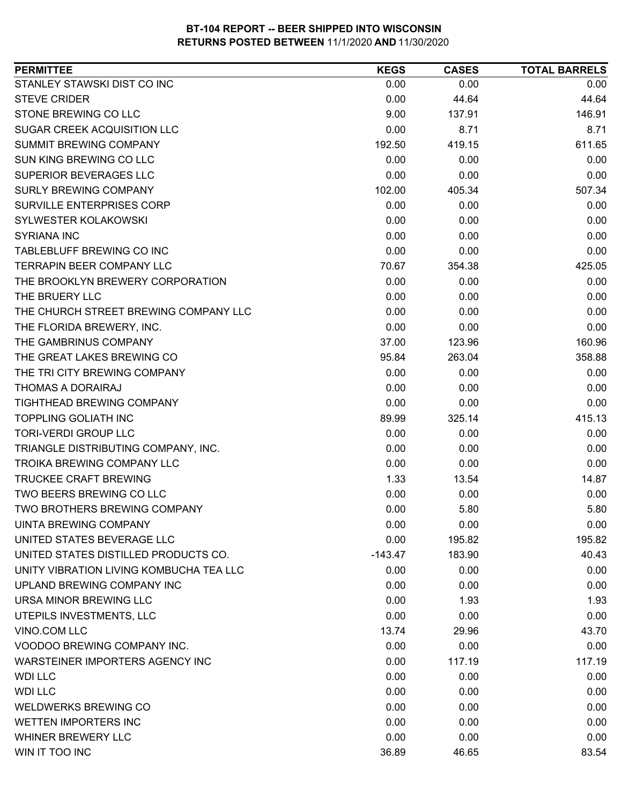| <b>PERMITTEE</b>                        | <b>KEGS</b> | <b>CASES</b> | <b>TOTAL BARRELS</b> |
|-----------------------------------------|-------------|--------------|----------------------|
| STANLEY STAWSKI DIST CO INC             | 0.00        | 0.00         | 0.00                 |
| <b>STEVE CRIDER</b>                     | 0.00        | 44.64        | 44.64                |
| STONE BREWING CO LLC                    | 9.00        | 137.91       | 146.91               |
| <b>SUGAR CREEK ACQUISITION LLC</b>      | 0.00        | 8.71         | 8.71                 |
| SUMMIT BREWING COMPANY                  | 192.50      | 419.15       | 611.65               |
| <b>SUN KING BREWING CO LLC</b>          | 0.00        | 0.00         | 0.00                 |
| SUPERIOR BEVERAGES LLC                  | 0.00        | 0.00         | 0.00                 |
| <b>SURLY BREWING COMPANY</b>            | 102.00      | 405.34       | 507.34               |
| SURVILLE ENTERPRISES CORP               | 0.00        | 0.00         | 0.00                 |
| SYLWESTER KOLAKOWSKI                    | 0.00        | 0.00         | 0.00                 |
| <b>SYRIANA INC</b>                      | 0.00        | 0.00         | 0.00                 |
| TABLEBLUFF BREWING CO INC               | 0.00        | 0.00         | 0.00                 |
| TERRAPIN BEER COMPANY LLC               | 70.67       | 354.38       | 425.05               |
| THE BROOKLYN BREWERY CORPORATION        | 0.00        | 0.00         | 0.00                 |
| THE BRUERY LLC                          | 0.00        | 0.00         | 0.00                 |
| THE CHURCH STREET BREWING COMPANY LLC   | 0.00        | 0.00         | 0.00                 |
| THE FLORIDA BREWERY, INC.               | 0.00        | 0.00         | 0.00                 |
| THE GAMBRINUS COMPANY                   | 37.00       | 123.96       | 160.96               |
| THE GREAT LAKES BREWING CO              | 95.84       | 263.04       | 358.88               |
| THE TRI CITY BREWING COMPANY            | 0.00        | 0.00         | 0.00                 |
| <b>THOMAS A DORAIRAJ</b>                | 0.00        | 0.00         | 0.00                 |
| TIGHTHEAD BREWING COMPANY               | 0.00        | 0.00         | 0.00                 |
| <b>TOPPLING GOLIATH INC</b>             | 89.99       | 325.14       | 415.13               |
| <b>TORI-VERDI GROUP LLC</b>             | 0.00        | 0.00         | 0.00                 |
| TRIANGLE DISTRIBUTING COMPANY, INC.     | 0.00        | 0.00         | 0.00                 |
| <b>TROIKA BREWING COMPANY LLC</b>       | 0.00        | 0.00         | 0.00                 |
| <b>TRUCKEE CRAFT BREWING</b>            | 1.33        | 13.54        | 14.87                |
| TWO BEERS BREWING CO LLC                | 0.00        | 0.00         | 0.00                 |
| TWO BROTHERS BREWING COMPANY            | 0.00        | 5.80         | 5.80                 |
| UINTA BREWING COMPANY                   | 0.00        | 0.00         | 0.00                 |
| UNITED STATES BEVERAGE LLC              | 0.00        | 195.82       | 195.82               |
| UNITED STATES DISTILLED PRODUCTS CO.    | $-143.47$   | 183.90       | 40.43                |
| UNITY VIBRATION LIVING KOMBUCHA TEA LLC | 0.00        | 0.00         | 0.00                 |
| UPLAND BREWING COMPANY INC              | 0.00        | 0.00         | 0.00                 |
| URSA MINOR BREWING LLC                  | 0.00        | 1.93         | 1.93                 |
| UTEPILS INVESTMENTS, LLC                | 0.00        | 0.00         | 0.00                 |
| VINO.COM LLC                            | 13.74       | 29.96        | 43.70                |
| VOODOO BREWING COMPANY INC.             | 0.00        | 0.00         | 0.00                 |
| WARSTEINER IMPORTERS AGENCY INC         | 0.00        | 117.19       | 117.19               |
| <b>WDI LLC</b>                          | 0.00        | 0.00         | 0.00                 |
| <b>WDI LLC</b>                          | 0.00        | 0.00         | 0.00                 |
| <b>WELDWERKS BREWING CO</b>             | 0.00        | 0.00         | 0.00                 |
| WETTEN IMPORTERS INC                    | 0.00        | 0.00         | 0.00                 |
| WHINER BREWERY LLC                      | 0.00        | 0.00         | 0.00                 |
| WIN IT TOO INC                          | 36.89       | 46.65        | 83.54                |